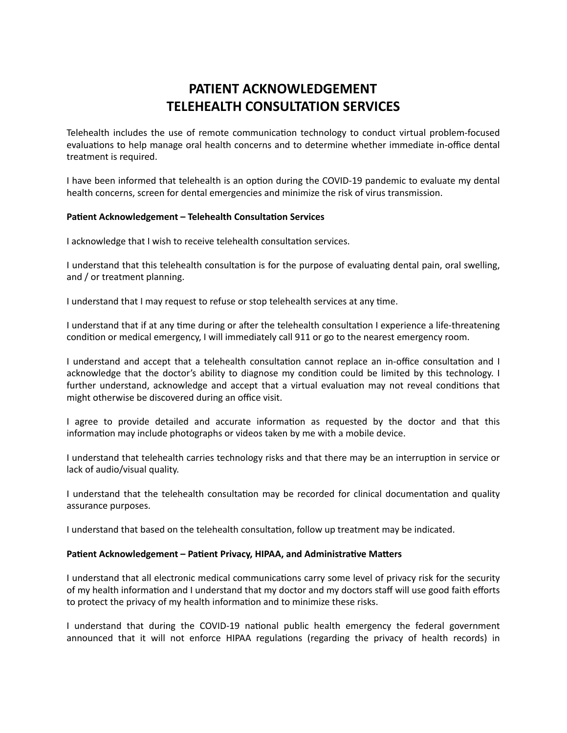## **PATIENT ACKNOWLEDGEMENT TELEHEALTH CONSULTATION SERVICES**

Telehealth includes the use of remote communication technology to conduct virtual problem-focused evaluations to help manage oral health concerns and to determine whether immediate in-office dental treatment is required.

I have been informed that telehealth is an option during the COVID-19 pandemic to evaluate my dental health concerns, screen for dental emergencies and minimize the risk of virus transmission.

## **Patient Acknowledgement - Telehealth Consultation Services**

I acknowledge that I wish to receive telehealth consultation services.

I understand that this telehealth consultation is for the purpose of evaluating dental pain, oral swelling, and / or treatment planning.

I understand that I may request to refuse or stop telehealth services at any time.

I understand that if at any time during or after the telehealth consultation I experience a life-threatening condition or medical emergency, I will immediately call 911 or go to the nearest emergency room.

I understand and accept that a telehealth consultation cannot replace an in-office consultation and I acknowledge that the doctor's ability to diagnose my condition could be limited by this technology. I further understand, acknowledge and accept that a virtual evaluation may not reveal conditions that might otherwise be discovered during an office visit.

I agree to provide detailed and accurate information as requested by the doctor and that this information may include photographs or videos taken by me with a mobile device.

I understand that telehealth carries technology risks and that there may be an interruption in service or lack of audio/visual quality.

I understand that the telehealth consultation may be recorded for clinical documentation and quality assurance purposes.

I understand that based on the telehealth consultation, follow up treatment may be indicated.

## Patient Acknowledgement - Patient Privacy, HIPAA, and Administrative Matters

I understand that all electronic medical communications carry some level of privacy risk for the security of my health information and I understand that my doctor and my doctors staff will use good faith efforts to protect the privacy of my health information and to minimize these risks.

I understand that during the COVID-19 national public health emergency the federal government announced that it will not enforce HIPAA regulations (regarding the privacy of health records) in